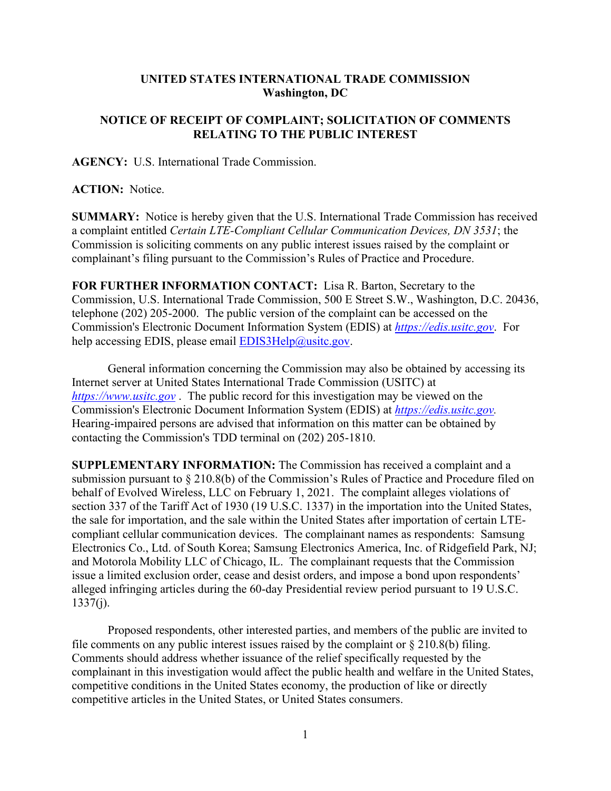## **UNITED STATES INTERNATIONAL TRADE COMMISSION Washington, DC**

## **NOTICE OF RECEIPT OF COMPLAINT; SOLICITATION OF COMMENTS RELATING TO THE PUBLIC INTEREST**

**AGENCY:** U.S. International Trade Commission.

## **ACTION:** Notice.

**SUMMARY:** Notice is hereby given that the U.S. International Trade Commission has received a complaint entitled *Certain LTE-Compliant Cellular Communication Devices, DN 3531*; the Commission is soliciting comments on any public interest issues raised by the complaint or complainant's filing pursuant to the Commission's Rules of Practice and Procedure.

**FOR FURTHER INFORMATION CONTACT:** Lisa R. Barton, Secretary to the Commission, U.S. International Trade Commission, 500 E Street S.W., Washington, D.C. 20436, telephone (202) 205-2000. The public version of the complaint can be accessed on the Commission's Electronic Document Information System (EDIS) at *[https://edis.usitc.gov](https://edis.usitc.gov/)*. For help accessing EDIS, please email [EDIS3Help@usitc.gov.](mailto:EDIS3Help@usitc.gov)

General information concerning the Commission may also be obtained by accessing its Internet server at United States International Trade Commission (USITC) at *[https://www.usitc.gov](https://www.usitc.gov/)* . The public record for this investigation may be viewed on the Commission's Electronic Document Information System (EDIS) at *[https://edis.usitc.gov.](https://edis.usitc.gov/)* Hearing-impaired persons are advised that information on this matter can be obtained by contacting the Commission's TDD terminal on (202) 205-1810.

**SUPPLEMENTARY INFORMATION:** The Commission has received a complaint and a submission pursuant to § 210.8(b) of the Commission's Rules of Practice and Procedure filed on behalf of Evolved Wireless, LLC on February 1, 2021. The complaint alleges violations of section 337 of the Tariff Act of 1930 (19 U.S.C. 1337) in the importation into the United States, the sale for importation, and the sale within the United States after importation of certain LTEcompliant cellular communication devices. The complainant names as respondents: Samsung Electronics Co., Ltd. of South Korea; Samsung Electronics America, Inc. of Ridgefield Park, NJ; and Motorola Mobility LLC of Chicago, IL. The complainant requests that the Commission issue a limited exclusion order, cease and desist orders, and impose a bond upon respondents' alleged infringing articles during the 60-day Presidential review period pursuant to 19 U.S.C.  $1337(j)$ .

Proposed respondents, other interested parties, and members of the public are invited to file comments on any public interest issues raised by the complaint or  $\S 210.8(b)$  filing. Comments should address whether issuance of the relief specifically requested by the complainant in this investigation would affect the public health and welfare in the United States, competitive conditions in the United States economy, the production of like or directly competitive articles in the United States, or United States consumers.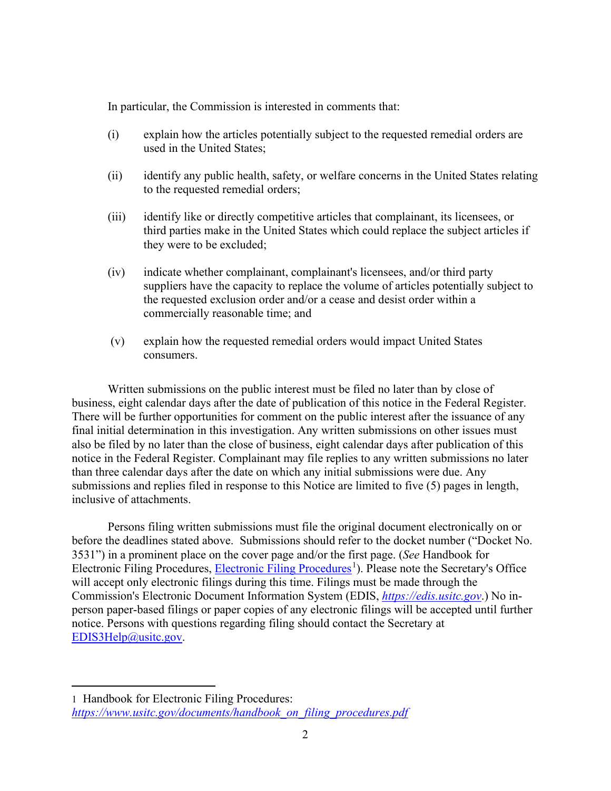In particular, the Commission is interested in comments that:

- (i) explain how the articles potentially subject to the requested remedial orders are used in the United States;
- (ii) identify any public health, safety, or welfare concerns in the United States relating to the requested remedial orders;
- (iii) identify like or directly competitive articles that complainant, its licensees, or third parties make in the United States which could replace the subject articles if they were to be excluded;
- (iv) indicate whether complainant, complainant's licensees, and/or third party suppliers have the capacity to replace the volume of articles potentially subject to the requested exclusion order and/or a cease and desist order within a commercially reasonable time; and
- (v) explain how the requested remedial orders would impact United States consumers.

Written submissions on the public interest must be filed no later than by close of business, eight calendar days after the date of publication of this notice in the Federal Register. There will be further opportunities for comment on the public interest after the issuance of any final initial determination in this investigation. Any written submissions on other issues must also be filed by no later than the close of business, eight calendar days after publication of this notice in the Federal Register. Complainant may file replies to any written submissions no later than three calendar days after the date on which any initial submissions were due. Any submissions and replies filed in response to this Notice are limited to five (5) pages in length, inclusive of attachments.

Persons filing written submissions must file the original document electronically on or before the deadlines stated above. Submissions should refer to the docket number ("Docket No. 3531") in a prominent place on the cover page and/or the first page. (*See* Handbook for Electronic Filing Procedures, [Electronic Filing Procedures](https://www.usitc.gov/documents/handbook_on_filing_procedures.pdf)<sup>[1](#page-1-0)</sup>). Please note the Secretary's Office will accept only electronic filings during this time. Filings must be made through the Commission's Electronic Document Information System (EDIS, *[https://edis.usitc.gov](https://edis.usitc.gov/)*.) No inperson paper-based filings or paper copies of any electronic filings will be accepted until further notice. Persons with questions regarding filing should contact the Secretary at [EDIS3Help@usitc.gov.](mailto:EDIS3Help@usitc.gov)

<span id="page-1-0"></span><sup>1</sup> Handbook for Electronic Filing Procedures: *[https://www.usitc.gov/documents/handbook\\_on\\_filing\\_procedures.pdf](https://www.usitc.gov/documents/handbook_on_filing_procedures.pdf)*